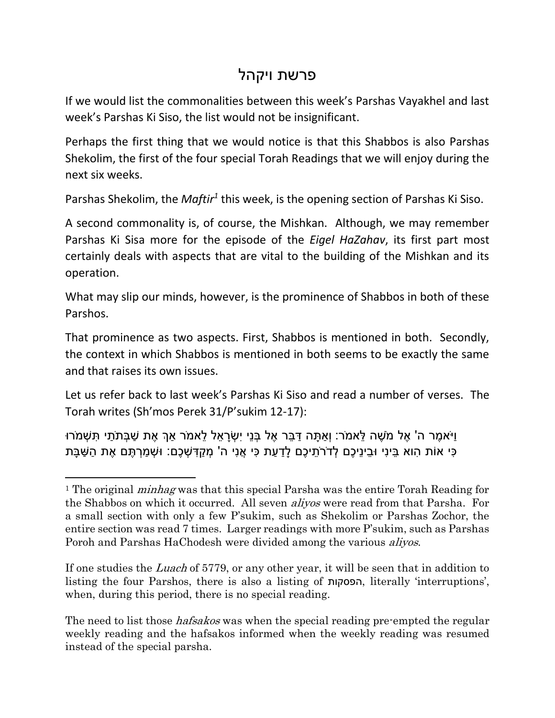## פרשת ויקהל

If we would list the commonalities between this week's Parshas Vayakhel and last week's Parshas Ki Siso, the list would not be insignificant.

Perhaps the first thing that we would notice is that this Shabbos is also Parshas Shekolim, the first of the four special Torah Readings that we will enjoy during the next six weeks.

Parshas Shekolim, the *Maftir<sup>1</sup>* this week, is the opening section of Parshas Ki Siso.

A second commonality is, of course, the Mishkan. Although, we may remember Parshas Ki Sisa more for the episode of the *Eigel HaZahav*, its first part most certainly deals with aspects that are vital to the building of the Mishkan and its operation.

What may slip our minds, however, is the prominence of Shabbos in both of these Parshos.

That prominence as two aspects. First, Shabbos is mentioned in both. Secondly, the context in which Shabbos is mentioned in both seems to be exactly the same and that raises its own issues.

Let us refer back to last week's Parshas Ki Siso and read a number of verses. The Torah writes (Sh'mos Perek 31/P'sukim 12-17):

ּוִיֹּאמֶר ה' אֵל מֹשֶׁה לֹּאמֹר: וְאתָּה דִּבַּר אֶל בְּנַי יִשְׂרָאל לֹאמֹר אַךְ אֶת שַׁבַּתֹּתִי ִתְּשָׁמֹּרוּ ַּכִּי אוֹת הָוא בֵּינִי וּבֵינֵיכֵם לְדֹרֹתֵיכֵם לַדַעַת כִּי אֲנִי ה' מְקַדְּשָׁכֵם: וּשָׁמַרְתֵּם אֶת הַשַּׁבַּת

 $\overline{a}$ 

If one studies the Luach of 5779, or any other year, it will be seen that in addition to listing the four Parshos, there is also a listing of הפסקות, literally 'interruptions', when, during this period, there is no special reading.

The need to list those *hafsakos* was when the special reading pre-empted the regular weekly reading and the hafsakos informed when the weekly reading was resumed instead of the special parsha.

<sup>&</sup>lt;sup>1</sup> The original *minhag* was that this special Parsha was the entire Torah Reading for the Shabbos on which it occurred. All seven aliyos were read from that Parsha. For a small section with only a few P'sukim, such as Shekolim or Parshas Zochor, the entire section was read 7 times. Larger readings with more P'sukim, such as Parshas Poroh and Parshas HaChodesh were divided among the various *aliyos*.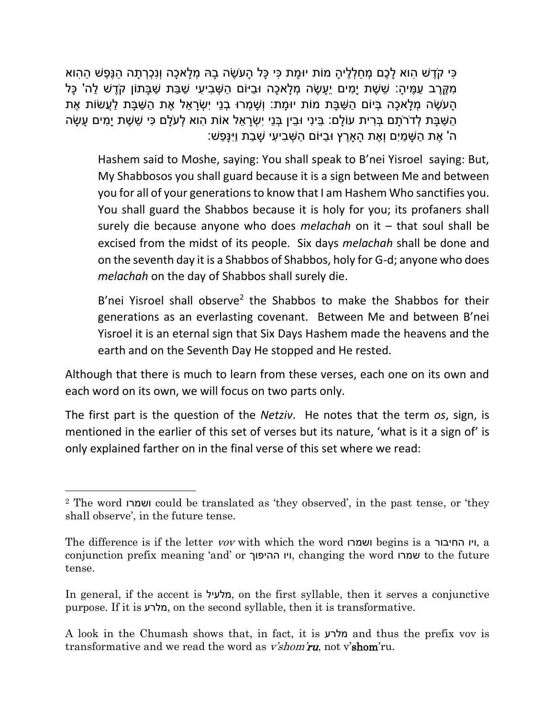ָּכִּי קֹדֵשׁ הָוא לַכֶם מְחַלְלֵיהַ מוֹת יוּמַת כִּי כַּל הַעֹשֶׂה בַהּ מְלַאכַה וְנִכְרְתַה הַנֵּפֶשׁ הַהְוא ַמְקֶרֶב עֲמֵיהָ: שֶׁשֶׁת יַמִּים יֵעֲשֶׂה מְלַאכָה וּבַיּוֹם הַשָּׁבִיעִי שַׁבַּת שַׁבַּתוֹן קֹדֵשׁ לַה' כַּל ָּהַעֹּשֶׂה מְלַאכָה בְּיוֹם הַשָּׁבָּת מֹוֹת יוּמַת: וְשָׁמְרוּ בְנֵי יְשָׂרַאֵל אֶת הַשַּׁבַּת לַעֲשׂוֹת אֶת ָּהַשָּׁבָּת לְדֹרֹתַם בְּרִית עוֹלַם: בֵּינִי וּבֵין בְּנֵי יִשְׂרַאֵל אוֹת הוא לְעֹלַם כִּי שֵׁשֶׁת יָמִים עַשָּׂה ָה' אֶת הַשֶּׁמֵים וְאֶת הַארֶץ וּבַיּוֹם הַשָּׁבִיעִי שַׁבַת וַיִּנַּפָּש:

Hashem said to Moshe, saying: You shall speak to B'nei Yisroel saying: But, My Shabbosos you shall guard because it is a sign between Me and between you for all of your generations to know that I am Hashem Who sanctifies you. You shall guard the Shabbos because it is holy for you; its profaners shall surely die because anyone who does *melachah* on it – that soul shall be excised from the midst of its people. Six days *melachah* shall be done and on the seventh day it is a Shabbos of Shabbos, holy for G-d; anyone who does *melachah* on the day of Shabbos shall surely die.

B'nei Yisroel shall observe<sup>2</sup> the Shabbos to make the Shabbos for their generations as an everlasting covenant. Between Me and between B'nei Yisroel it is an eternal sign that Six Days Hashem made the heavens and the earth and on the Seventh Day He stopped and He rested.

Although that there is much to learn from these verses, each one on its own and each word on its own, we will focus on two parts only.

The first part is the question of the *Netziv*. He notes that the term *os*, sign, is mentioned in the earlier of this set of verses but its nature, 'what is it a sign of' is only explained farther on in the final verse of this set where we read:

<sup>2</sup> The word ושמרו could be translated as 'they observed', in the past tense, or 'they shall observe', in the future tense.

The difference is if the letter vov with which the word ושמרו begins is a החיבור ויו, a conjunction prefix meaning 'and' or ההיפוך ויו, changing the word שמרו to the future tense.

In general, if the accent is מלעיל, on the first syllable, then it serves a conjunctive purpose. If it is מלרע, on the second syllable, then it is transformative.

A look in the Chumash shows that, in fact, it is מלרע and thus the prefix vov is transformative and we read the word as *v'shom'ru*, not v'shom'ru.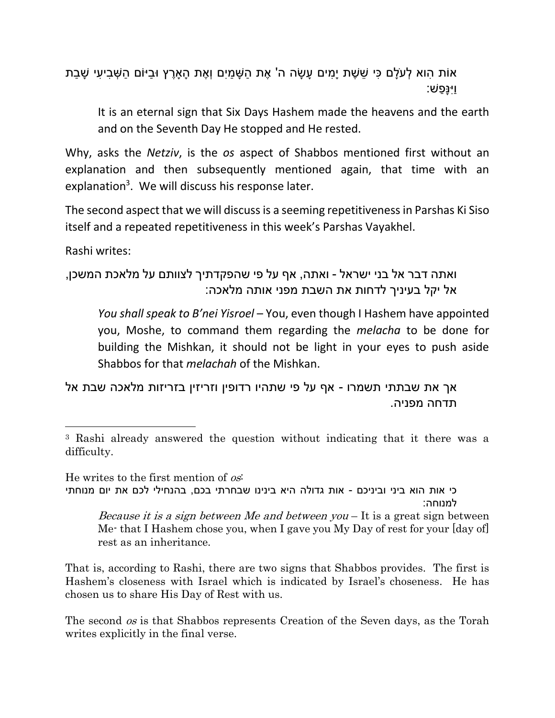ֹאוֹת הוא לְעֹלֵם כִּי שֵׁשֶׁת יָמִים עַשָּׂה ה' אֶת הַשֶּׁמַיִם וְאֶת הַאֹרֶץ וּבַיּוֹם הַשָּׁבִיעִי שַׁבַת וַיִנָּ ַפש:

It is an eternal sign that Six Days Hashem made the heavens and the earth and on the Seventh Day He stopped and He rested.

Why, asks the *Netziv*, is the *os* aspect of Shabbos mentioned first without an explanation and then subsequently mentioned again, that time with an explanation<sup>3</sup>. We will discuss his response later.

The second aspect that we will discuss is a seeming repetitiveness in Parshas Ki Siso itself and a repeated repetitiveness in this week's Parshas Vayakhel.

Rashi writes:

 $\overline{\phantom{a}}$ 

```
ואתה דבר אל בני ישראל - ואתה, אף על פי שהפקדתיך לצוותם על מלאכת המשכן, 
             אל יקל בעיניך לדחות את השבת מפני אותה מלאכה:
```
*You shall speak to B'nei Yisroel* – You, even though I Hashem have appointed you, Moshe, to command them regarding the *melacha* to be done for building the Mishkan, it should not be light in your eyes to push aside Shabbos for that *melachah* of the Mishkan.

אך את שבתתי תשמרו - אף על פי שתהיו רדופין וזריזין בזריזות מלאכה שבת אל תדחה מפניה.

He writes to the first mention of os: כי אות הוא ביני וביניכם - אות גדולה היא בינינו שבחרתי בכם, בהנחילי לכם את יום מנוחתי למנוחה: *Because it is a sign between Me and between you*  $-$  It is a great sign between Me- that I Hashem chose you, when I gave you My Day of rest for your [day of] rest as an inheritance.

That is, according to Rashi, there are two signs that Shabbos provides. The first is Hashem's closeness with Israel which is indicated by Israel's choseness. He has chosen us to share His Day of Rest with us.

The second *os* is that Shabbos represents Creation of the Seven days, as the Torah writes explicitly in the final verse.

<sup>3</sup> Rashi already answered the question without indicating that it there was a difficulty.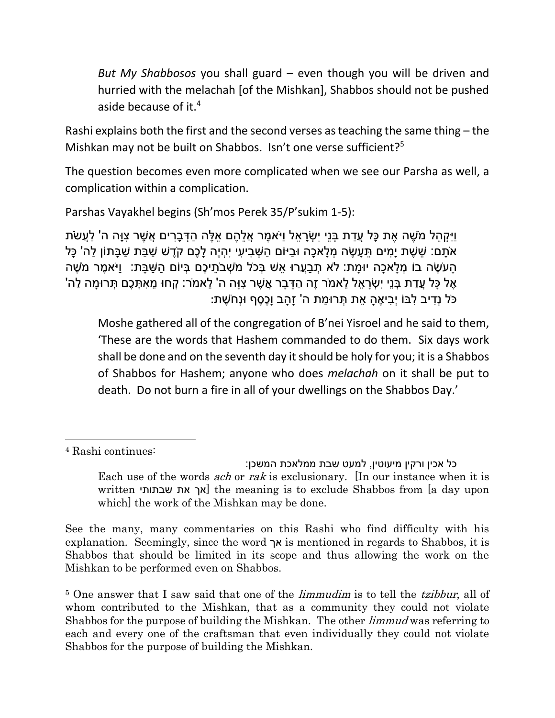*But My Shabbosos* you shall guard – even though you will be driven and hurried with the melachah [of the Mishkan], Shabbos should not be pushed aside because of it.<sup>4</sup>

Rashi explains both the first and the second verses as teaching the same thing – the Mishkan may not be built on Shabbos. Isn't one verse sufficient?<sup>5</sup>

The question becomes even more complicated when we see our Parsha as well, a complication within a complication.

Parshas Vayakhel begins (Sh'mos Perek 35/P'sukim 1-5):

ּוִיקָהל מֹשֶׁה אֶת כַּל עֲדת בְּנֵי יִשָׂראל וַיֹּאמֶר אֱלֹהֶם אלֶה הִדְּבַרים אֱשֶׁר צוּה ה' לַעֱשֹׂת ֹּאֹתַם: שֵׁשֶׁת יַמִּים תֵּעֲשֶׂה מְלַאכָה וּבַיּוֹם הַשָּׁבִיעִי יִהְיֶה לָּכֶם קֹדֶשׁ שַׁבַּת שַׁבַּתוֹן לַה' כָּל ָּהַעֹּשֶׂה בוֹ מְלַאכָה יוּמַת: לֹא תְבַעֲרוּ אֵשׁ בְּכֹל מֹשָׁבֹתֵיכֶם בִּיוֹם הַשַּׁבַּת: וַיֹּאמֶר מֹשֶׁה ָּאֶל כָּל עֲדַת בְּנֵי יִשְׂרָאֵל לֵאמֹר זֶה הַדָּבָר אֲשֶׁר צְוָּה ה' לֵאמֹר: קְחוּ מֵאִתְּכֵם תְּרוּמַה לַה ֹּכֹּל נְדִיב לְבּוֹ יְבִיאֶהָ אֶת תְּרוּמַת ה' זַהַב וַכֶּסֶף וּנְחֹשֶׁת:

Moshe gathered all of the congregation of B'nei Yisroel and he said to them, 'These are the words that Hashem commanded to do them. Six days work shall be done and on the seventh day it should be holy for you; it is a Shabbos of Shabbos for Hashem; anyone who does *melachah* on it shall be put to death. Do not burn a fire in all of your dwellings on the Shabbos Day.'

<sup>4</sup> Rashi continues:

כל אכין ורקין מיעוטין, למעט שבת ממלאכת המשכן: Each use of the words *ach* or *rak* is exclusionary. [In our instance when it is written שבתותי את אך [the meaning is to exclude Shabbos from [a day upon which] the work of the Mishkan may be done.

See the many, many commentaries on this Rashi who find difficulty with his explanation. Seemingly, since the word אך is mentioned in regards to Shabbos, it is Shabbos that should be limited in its scope and thus allowing the work on the Mishkan to be performed even on Shabbos.

<sup>&</sup>lt;sup>5</sup> One answer that I saw said that one of the *limmudim* is to tell the *tzibbur*, all of whom contributed to the Mishkan, that as a community they could not violate Shabbos for the purpose of building the Mishkan. The other limmud was referring to each and every one of the craftsman that even individually they could not violate Shabbos for the purpose of building the Mishkan.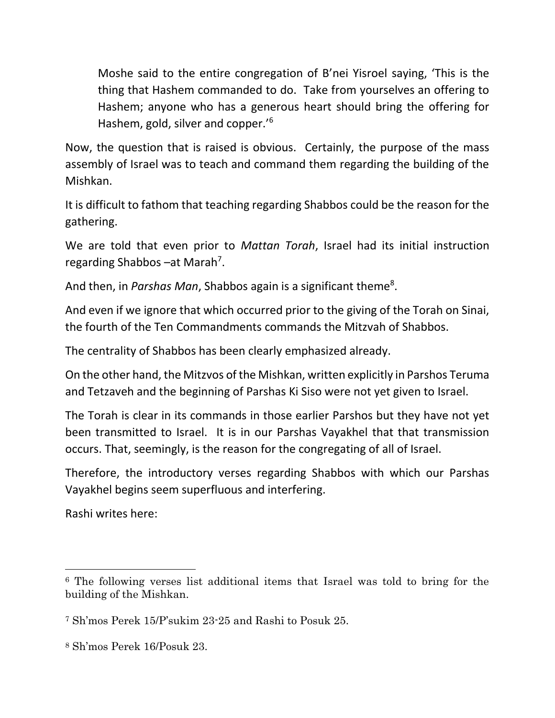Moshe said to the entire congregation of B'nei Yisroel saying, 'This is the thing that Hashem commanded to do. Take from yourselves an offering to Hashem; anyone who has a generous heart should bring the offering for Hashem, gold, silver and copper.'<sup>6</sup>

Now, the question that is raised is obvious. Certainly, the purpose of the mass assembly of Israel was to teach and command them regarding the building of the Mishkan.

It is difficult to fathom that teaching regarding Shabbos could be the reason for the gathering.

We are told that even prior to *Mattan Torah*, Israel had its initial instruction regarding Shabbos - at Marah<sup>7</sup>.

And then, in *Parshas Man*, Shabbos again is a significant theme<sup>8</sup>.

And even if we ignore that which occurred prior to the giving of the Torah on Sinai, the fourth of the Ten Commandments commands the Mitzvah of Shabbos.

The centrality of Shabbos has been clearly emphasized already.

On the other hand, the Mitzvos of the Mishkan, written explicitly in Parshos Teruma and Tetzaveh and the beginning of Parshas Ki Siso were not yet given to Israel.

The Torah is clear in its commands in those earlier Parshos but they have not yet been transmitted to Israel. It is in our Parshas Vayakhel that that transmission occurs. That, seemingly, is the reason for the congregating of all of Israel.

Therefore, the introductory verses regarding Shabbos with which our Parshas Vayakhel begins seem superfluous and interfering.

Rashi writes here:

 $\overline{\phantom{a}}$ <sup>6</sup> The following verses list additional items that Israel was told to bring for the building of the Mishkan.

<sup>7</sup> Sh'mos Perek 15/P'sukim 23-25 and Rashi to Posuk 25.

<sup>8</sup> Sh'mos Perek 16/Posuk 23.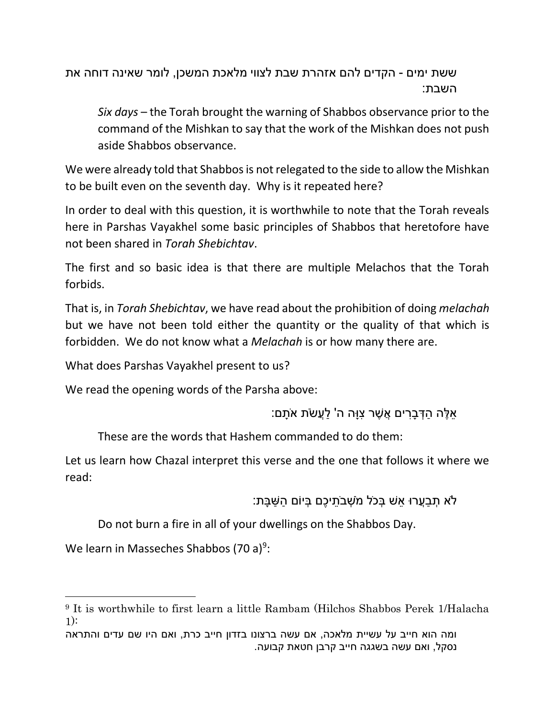ששת ימים - הקדים להם אזהרת שבת לצווי מלאכת המשכן, לומר שאינה דוחה את השבת:

*Six days* – the Torah brought the warning of Shabbos observance prior to the command of the Mishkan to say that the work of the Mishkan does not push aside Shabbos observance.

We were already told that Shabbos is not relegated to the side to allow the Mishkan to be built even on the seventh day. Why is it repeated here?

In order to deal with this question, it is worthwhile to note that the Torah reveals here in Parshas Vayakhel some basic principles of Shabbos that heretofore have not been shared in *Torah Shebichtav*.

The first and so basic idea is that there are multiple Melachos that the Torah forbids.

That is, in *Torah Shebichtav*, we have read about the prohibition of doing *melachah* but we have not been told either the quantity or the quality of that which is forbidden. We do not know what a *Melachah* is or how many there are.

What does Parshas Vayakhel present to us?

We read the opening words of the Parsha above:

ָּאלָה הַדְּברים אֱשָׁר צוּה ה' לַעֲשׂת אֹתַם:

These are the words that Hashem commanded to do them:

Let us learn how Chazal interpret this verse and the one that follows it where we read:

ֿלֹא תְבַעֲרוּ אֵשׁ בְּכֹל מֹשָׁבֹתֵיכֶם בִּיוֹם הַשַּׁבַּת:

Do not burn a fire in all of your dwellings on the Shabbos Day.

We learn in Masseches Shabbos (70 a)<sup>9</sup>:

<sup>9</sup> It is worthwhile to first learn a little Rambam (Hilchos Shabbos Perek 1/Halacha 1):

ומה הוא חייב על עשיית מלאכה, אם עשה ברצונו בזדון חייב כרת, ואם היו שם עדים והתראה נסקל, ואם עשה בשגגה חייב קרבן חטאת קבועה.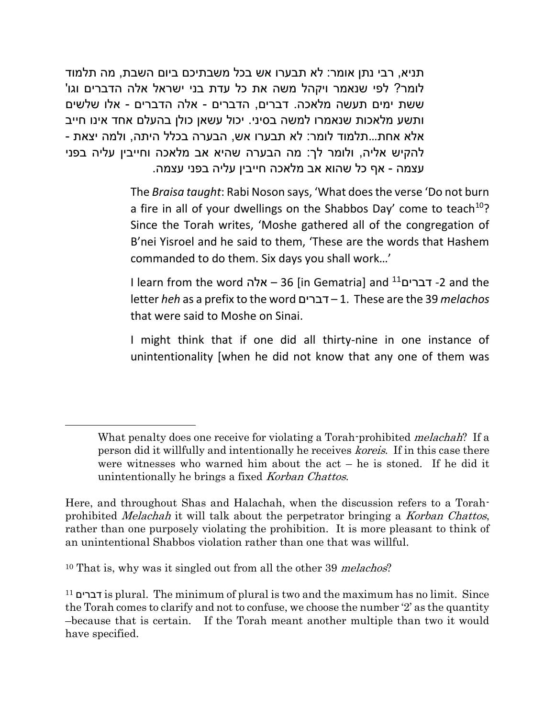תניא, רבי נתן אומר: לא תבערו אש בכל משבתיכם ביום השבת, מה תלמוד לומר? לפי שנאמר ויקהל משה את כל עדת בני ישראל אלה הדברים וגו' ששת ימים תעשה מלאכה. דברים, הדברים - אלה הדברים - אלו שלשים ותשע מלאכות שנאמרו למשה בסיני. יכול עשאן כולן בהעלם אחד אינו חייב אלא אחת...תלמוד לומר: לא תבערו אש, הבערה בכלל היתה, ולמה יצאת - להקיש אליה, ולומר לך: מה הבערה שהיא אב מלאכה וחייבין עליה בפני עצמה - אף כל שהוא אב מלאכה חייבין עליה בפני עצמה.

> The *Braisa taught*: Rabi Noson says, 'What does the verse 'Do not burn a fire in all of your dwellings on the Shabbos Day' come to teach  $10$ ? Since the Torah writes, 'Moshe gathered all of the congregation of B'nei Yisroel and he said to them, 'These are the words that Hashem commanded to do them. Six days you shall work…'

> I learn from the word אלה – 36] in Gematria] and <sup>11</sup>דברים -2 and the letter *heh* as a prefix to the word דברים – 1. These are the 39 *melachos* that were said to Moshe on Sinai.

> I might think that if one did all thirty-nine in one instance of unintentionality [when he did not know that any one of them was

 $\overline{a}$ 

What penalty does one receive for violating a Torah-prohibited *melachah*? If a person did it willfully and intentionally he receives koreis. If in this case there were witnesses who warned him about the act – he is stoned. If he did it unintentionally he brings a fixed Korban Chattos.

Here, and throughout Shas and Halachah, when the discussion refers to a Torahprohibited Melachah it will talk about the perpetrator bringing a Korban Chattos, rather than one purposely violating the prohibition. It is more pleasant to think of an unintentional Shabbos violation rather than one that was willful.

<sup>&</sup>lt;sup>10</sup> That is, why was it singled out from all the other 39 *melachos*?

<sup>11</sup> דברים is plural. The minimum of plural is two and the maximum has no limit. Since the Torah comes to clarify and not to confuse, we choose the number '2' as the quantity –because that is certain. If the Torah meant another multiple than two it would have specified.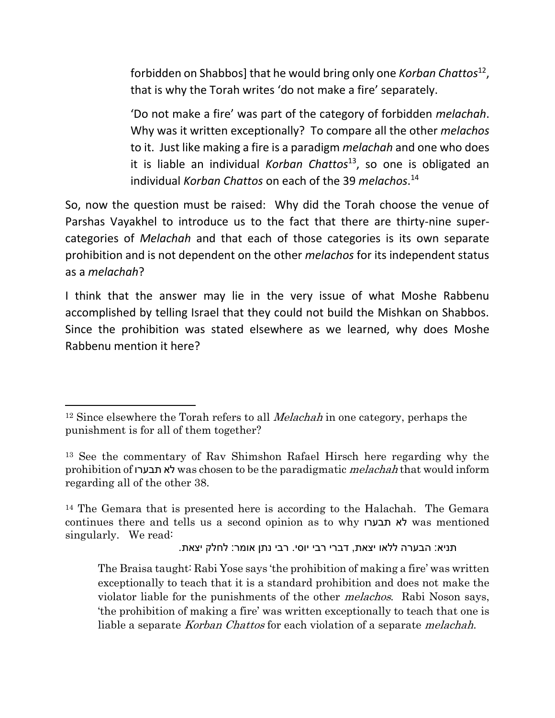forbidden on Shabbos] that he would bring only one *Korban Chattos*<sup>12</sup> , that is why the Torah writes 'do not make a fire' separately.

'Do not make a fire' was part of the category of forbidden *melachah*. Why was it written exceptionally? To compare all the other *melachos* to it. Just like making a fire is a paradigm *melachah* and one who does it is liable an individual *Korban Chattos*<sup>13</sup>, so one is obligated an individual *Korban Chattos* on each of the 39 *melachos*. 14

So, now the question must be raised: Why did the Torah choose the venue of Parshas Vayakhel to introduce us to the fact that there are thirty-nine supercategories of *Melachah* and that each of those categories is its own separate prohibition and is not dependent on the other *melachos* for its independent status as a *melachah*?

I think that the answer may lie in the very issue of what Moshe Rabbenu accomplished by telling Israel that they could not build the Mishkan on Shabbos. Since the prohibition was stated elsewhere as we learned, why does Moshe Rabbenu mention it here?

l

```
תניא: הבערה ללאו יצאת, דברי רבי יוסי. רבי נתן אומר: לחלק יצאת.
```
<sup>&</sup>lt;sup>12</sup> Since elsewhere the Torah refers to all *Melachah* in one category, perhaps the punishment is for all of them together?

<sup>13</sup> See the commentary of Rav Shimshon Rafael Hirsch here regarding why the prohibition of תבערו לא was chosen to be the paradigmatic melachah that would inform regarding all of the other 38.

<sup>14</sup> The Gemara that is presented here is according to the Halachah. The Gemara continues there and tells us a second opinion as to why תבערו לא was mentioned singularly. We read:

The Braisa taught: Rabi Yose says 'the prohibition of making a fire' was written exceptionally to teach that it is a standard prohibition and does not make the violator liable for the punishments of the other *melachos*. Rabi Noson says, 'the prohibition of making a fire' was written exceptionally to teach that one is liable a separate *Korban Chattos* for each violation of a separate *melachah*.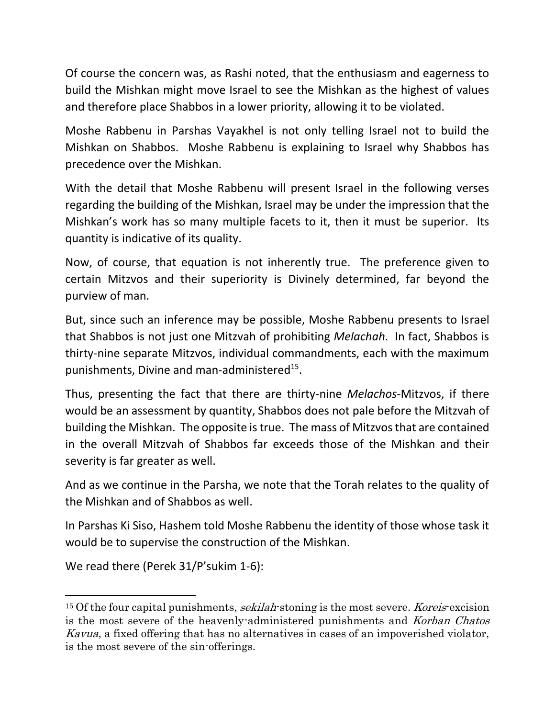Of course the concern was, as Rashi noted, that the enthusiasm and eagerness to build the Mishkan might move Israel to see the Mishkan as the highest of values and therefore place Shabbos in a lower priority, allowing it to be violated.

Moshe Rabbenu in Parshas Vayakhel is not only telling Israel not to build the Mishkan on Shabbos. Moshe Rabbenu is explaining to Israel why Shabbos has precedence over the Mishkan.

With the detail that Moshe Rabbenu will present Israel in the following verses regarding the building of the Mishkan, Israel may be under the impression that the Mishkan's work has so many multiple facets to it, then it must be superior. Its quantity is indicative of its quality.

Now, of course, that equation is not inherently true. The preference given to certain Mitzvos and their superiority is Divinely determined, far beyond the purview of man.

But, since such an inference may be possible, Moshe Rabbenu presents to Israel that Shabbos is not just one Mitzvah of prohibiting *Melachah*. In fact, Shabbos is thirty-nine separate Mitzvos, individual commandments, each with the maximum punishments, Divine and man-administered<sup>15</sup>.

Thus, presenting the fact that there are thirty-nine *Melachos*-Mitzvos, if there would be an assessment by quantity, Shabbos does not pale before the Mitzvah of building the Mishkan. The opposite is true. The mass of Mitzvos that are contained in the overall Mitzvah of Shabbos far exceeds those of the Mishkan and their severity is far greater as well.

And as we continue in the Parsha, we note that the Torah relates to the quality of the Mishkan and of Shabbos as well.

In Parshas Ki Siso, Hashem told Moshe Rabbenu the identity of those whose task it would be to supervise the construction of the Mishkan.

We read there (Perek 31/P'sukim 1-6):

l

<sup>&</sup>lt;sup>15</sup> Of the four capital punishments, *sekilah*-stoning is the most severe. Koreis-excision is the most severe of the heavenly-administered punishments and Korban Chatos Kavua, a fixed offering that has no alternatives in cases of an impoverished violator, is the most severe of the sin-offerings.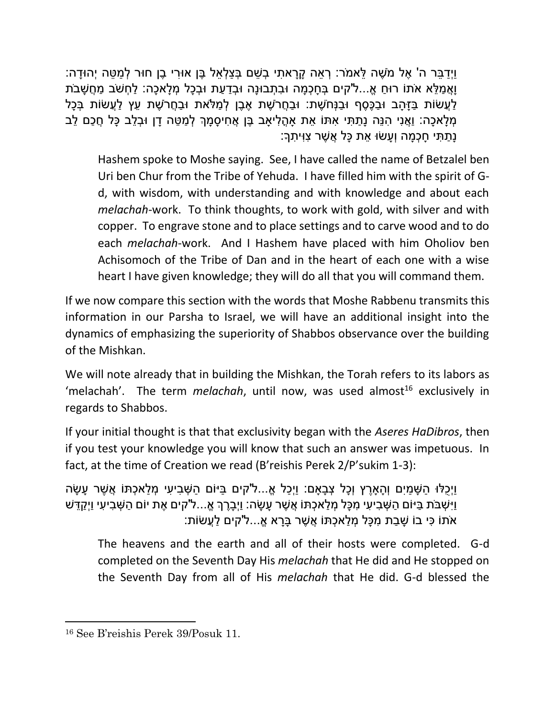ַּוַיְדַבֵּר ה' אֵל מֹשֶׁה לֵּאמֹּר: רְאֶה קַרַאתִי בְשֶׁם בְּצַלְאֵל בֵּן אוּרִי בֵן חוּר לְמַטֶּה יְהוּדַה: וַאֲמלֹא אֹתוֹ רוּח אֵ...ל'קים בְּחכָמה וּבתָבוּנה וּבְדעת וּבְכַל מְלאכה: לחָשֹׁב מַחֲשַׁבֹת ַלַעֲשׂוֹת בַּזַּהַב וּבַכֵּסֵף וּבַנְּחֹשֶׁת: וּבַחֲרֹשֶׁת אֶבֵן לְמַּלֹּאת וּבַחֲרֹשֶׁת עֵץ לַעֲשׂוֹת בְּכָל ְמ ָּלא ָּכה: וֲַאנִי ִהנֵּה נָּ ַת ִתי ִאתֹו ֵּאת ָא ֳה ִליָאב ֶבן ֲא ִחי ָּס ָּמְך ְל ַמ ֵּטה ָּדן ּו ְב ֵּלב ָּכל ֲח ַכם ֵּלב ַּנְתַּתִּי חַכְמַה וְעַשׂוּ אֶת כַּל אֲשֶׁר צִוִּיִתָךָ:

Hashem spoke to Moshe saying. See, I have called the name of Betzalel ben Uri ben Chur from the Tribe of Yehuda. I have filled him with the spirit of Gd, with wisdom, with understanding and with knowledge and about each *melachah*-work. To think thoughts, to work with gold, with silver and with copper. To engrave stone and to place settings and to carve wood and to do each *melachah*-work. And I Hashem have placed with him Oholiov ben Achisomoch of the Tribe of Dan and in the heart of each one with a wise heart I have given knowledge; they will do all that you will command them.

If we now compare this section with the words that Moshe Rabbenu transmits this information in our Parsha to Israel, we will have an additional insight into the dynamics of emphasizing the superiority of Shabbos observance over the building of the Mishkan.

We will note already that in building the Mishkan, the Torah refers to its labors as 'melachah'. The term *melachah*, until now, was used almost<sup>16</sup> exclusively in regards to Shabbos.

If your initial thought is that that exclusivity began with the *Aseres HaDibros*, then if you test your knowledge you will know that such an answer was impetuous. In fact, at the time of Creation we read (B'reishis Perek 2/P'sukim 1-3):

וַיְכלּוּ השַׁמים והארץ וכל צבאם: ויָכל א…ל'קים בּיּוֹם השַׁביעי מלאכתּוֹ אַשר עשׂה ַוַיִּשְׁבֹּת בַּיּוֹם הַשָּׁבִיעִי מִכָּל מְלַאכָתּוֹ אֱשֶׁר עֲשָׂה: וַיְבָרֵךְ אֶ...ל'קים אֶת יוֹם הַשְּׁבִיעִי וַיְקַדֵּשׁ ֹאֹתּוֹ כּי בוֹ שַׁבת מכּל מְלאכָתּוֹ אֲשֶׁר בַּרא אֱ...ל'קים לַעֲשׂוֹת:

The heavens and the earth and all of their hosts were completed. G-d completed on the Seventh Day His *melachah* that He did and He stopped on the Seventh Day from all of His *melachah* that He did. G-d blessed the

<sup>16</sup> See B'reishis Perek 39/Posuk 11.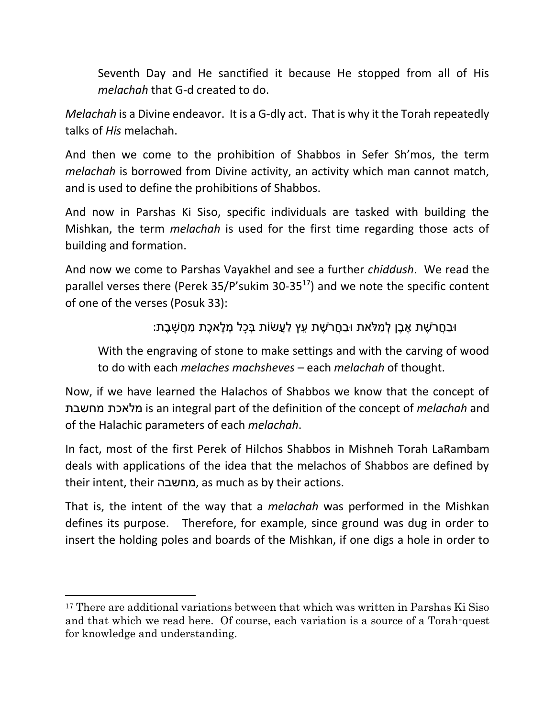Seventh Day and He sanctified it because He stopped from all of His *melachah* that G-d created to do.

*Melachah* is a Divine endeavor. It is a G-dly act. That is why it the Torah repeatedly talks of *His* melachah.

And then we come to the prohibition of Shabbos in Sefer Sh'mos, the term *melachah* is borrowed from Divine activity, an activity which man cannot match, and is used to define the prohibitions of Shabbos.

And now in Parshas Ki Siso, specific individuals are tasked with building the Mishkan, the term *melachah* is used for the first time regarding those acts of building and formation.

And now we come to Parshas Vayakhel and see a further *chiddush*. We read the parallel verses there (Perek 35/P'sukim 30-35 <sup>17</sup>) and we note the specific content of one of the verses (Posuk 33):

ּוּבַחֲרֹשֶׁת אֶבֶן לְמַלֹּאת ּוּבַחֲרֹשֶׁת עֵץ לַעֵשׂוֹת בְּכָל מְלֵאכֶת מַחֲשַׁבֶת:

With the engraving of stone to make settings and with the carving of wood to do with each *melaches machsheves* – each *melachah* of thought.

Now, if we have learned the Halachos of Shabbos we know that the concept of מחשבת מלאכת is an integral part of the definition of the concept of *melachah* and of the Halachic parameters of each *melachah*.

In fact, most of the first Perek of Hilchos Shabbos in Mishneh Torah LaRambam deals with applications of the idea that the melachos of Shabbos are defined by their intent, their מחשבה, as much as by their actions.

That is, the intent of the way that a *melachah* was performed in the Mishkan defines its purpose. Therefore, for example, since ground was dug in order to insert the holding poles and boards of the Mishkan, if one digs a hole in order to

l

<sup>&</sup>lt;sup>17</sup> There are additional variations between that which was written in Parshas Ki Siso and that which we read here. Of course, each variation is a source of a Torah-quest for knowledge and understanding.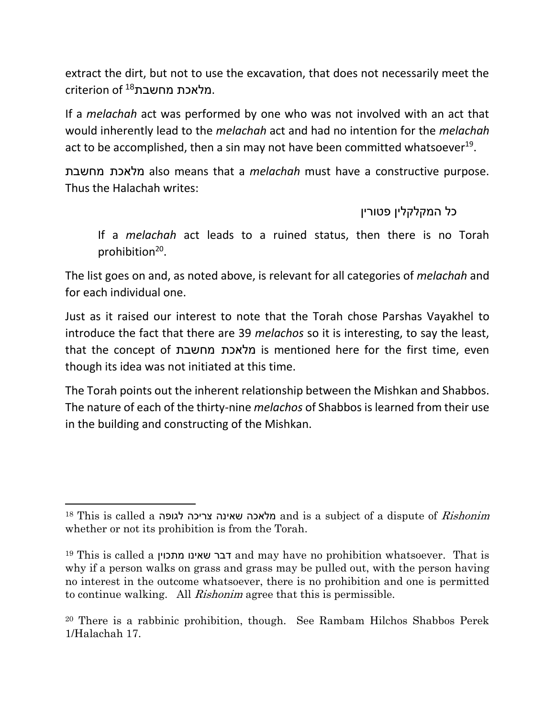extract the dirt, but not to use the excavation, that does not necessarily meet the  $\,$ ariterion of  $\,$ 18 מלאכת מחשבת.

If a *melachah* act was performed by one who was not involved with an act that would inherently lead to the *melachah* act and had no intention for the *melachah* act to be accomplished, then a sin may not have been committed whatsoever<sup>19</sup>.

מחשבת מלאכת also means that a *melachah* must have a constructive purpose. Thus the Halachah writes:

כל המקלקלין פטורין

If a *melachah* act leads to a ruined status, then there is no Torah prohibition<sup>20</sup>.

The list goes on and, as noted above, is relevant for all categories of *melachah* and for each individual one.

Just as it raised our interest to note that the Torah chose Parshas Vayakhel to introduce the fact that there are 39 *melachos* so it is interesting, to say the least, that the concept of מחשבת מלאכת is mentioned here for the first time, even though its idea was not initiated at this time.

The Torah points out the inherent relationship between the Mishkan and Shabbos. The nature of each of the thirty-nine *melachos* of Shabbos is learned from their use in the building and constructing of the Mishkan.

 $\overline{a}$ 

<sup>18</sup> This is called a מלאכה שאינה צריכה לגופה and is a subject of a dispute of *Rishonim* whether or not its prohibition is from the Torah.

<sup>19</sup> This is called a מתכוין שאינו דבר and may have no prohibition whatsoever. That is why if a person walks on grass and grass may be pulled out, with the person having no interest in the outcome whatsoever, there is no prohibition and one is permitted to continue walking. All Rishonim agree that this is permissible.

<sup>20</sup> There is a rabbinic prohibition, though. See Rambam Hilchos Shabbos Perek 1/Halachah 17.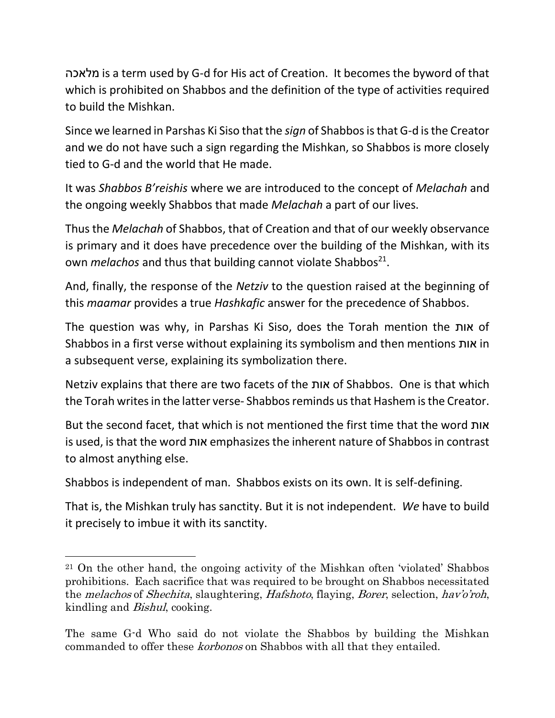מלאכה is a term used by G-d for His act of Creation. It becomes the byword of that which is prohibited on Shabbos and the definition of the type of activities required to build the Mishkan.

Since we learned in Parshas Ki Siso that the *sign* of Shabbos is that G-d is the Creator and we do not have such a sign regarding the Mishkan, so Shabbos is more closely tied to G-d and the world that He made.

It was *Shabbos B'reishis* where we are introduced to the concept of *Melachah* and the ongoing weekly Shabbos that made *Melachah* a part of our lives.

Thus the *Melachah* of Shabbos, that of Creation and that of our weekly observance is primary and it does have precedence over the building of the Mishkan, with its own *melachos* and thus that building cannot violate Shabbos<sup>21</sup>.

And, finally, the response of the *Netziv* to the question raised at the beginning of this *maamar* provides a true *Hashkafic* answer for the precedence of Shabbos.

The question was why, in Parshas Ki Siso, does the Torah mention the אות of Shabbos in a first verse without explaining its symbolism and then mentions אות in a subsequent verse, explaining its symbolization there.

Netziv explains that there are two facets of the אות of Shabbos. One is that which the Torah writes in the latter verse- Shabbosreminds us that Hashem is the Creator.

But the second facet, that which is not mentioned the first time that the word אות is used, is that the word אות emphasizesthe inherent nature of Shabbos in contrast to almost anything else.

Shabbos is independent of man. Shabbos exists on its own. It is self-defining.

 $\overline{a}$ 

That is, the Mishkan truly has sanctity. But it is not independent. *We* have to build it precisely to imbue it with its sanctity.

<sup>21</sup> On the other hand, the ongoing activity of the Mishkan often 'violated' Shabbos prohibitions. Each sacrifice that was required to be brought on Shabbos necessitated the melachos of Shechita, slaughtering, Hafshoto, flaying, Borer, selection, hav'o'roh, kindling and Bishul, cooking.

The same G-d Who said do not violate the Shabbos by building the Mishkan commanded to offer these korbonos on Shabbos with all that they entailed.